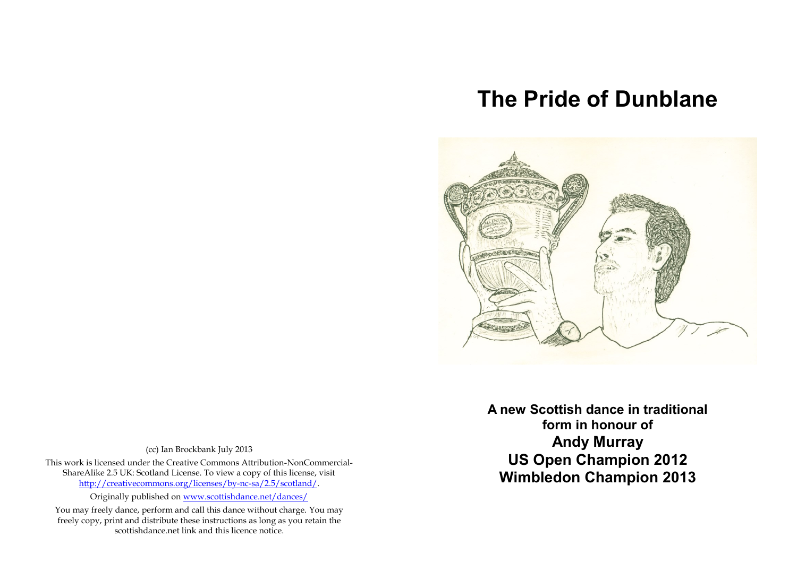## **The Pride of Dunblane**



(cc) Ian Brockbank July 2013

This work is licensed under the Creative Commons Attribution-NonCommercial-ShareAlike 2.5 UK: Scotland License. To view a copy of this license, visit [http://creativecommons.org/licenses/by-nc-sa/2.5/scotland/.](http://creativecommons.org/licenses/by-nc-sa/2.5/scotland/)

Originally published o[n www.scottishdance.net/dances/](http://www.scottishdance.net/dances/)

You may freely dance, perform and call this dance without charge. You may freely copy, print and distribute these instructions as long as you retain the scottishdance.net link and this licence notice.

**DEDITED BY An Archives A new Scottish dance in traditional form in honour of Andy Murray US Open Champion 2012 Wimbledon Champion 2013**